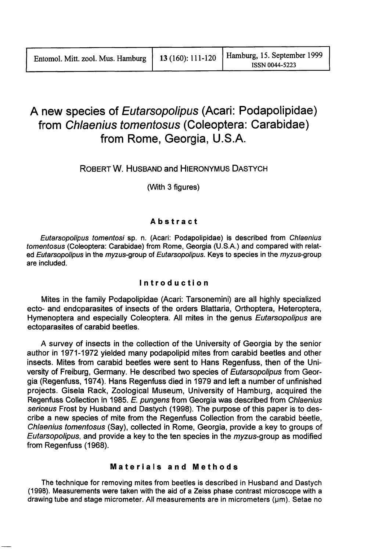# A new species of Eutarsopolipus (Acari: Podapolipidae) from Chlaenius tomentosus (Coleoptera: Carabidae) from Rome, Georgia, U.S.A.

ROBERT W. HUSBAND and HIERONYMUS DASTYCH

(With 3 figures)

## Abstract

Eutarsopolipus tomentosi sp. n. (Acari: Podapolipidae) is described from Chlaenius tomentosus (Coleoptera: Carabidae) from Rome, Georgia (U.S.A.) and compared with related Eutarsopolipus in the myzus-group of Eutarsopolipus. Keys to species in the myzus-group are included.

## Introduction

Mites in the family Podapolipidae (Acari: Tarsonemini) are all highly specialized ecto- and endoparasites of insects of the orders Blattaria, Orthoptera, Heteroptera, Hymenoptera and especially Coleoptera. All mites in the genus Eutarsopolipus are ectoparasites of carabid beetles.

A survey of insects in the collection of the University of Georgia by the senior author in 1971-1972 yielded many podapolipid mites from carabid beetles and other insects. Mites from carabid beetles were sent to Hans Regenfuss, then of the University of Freiburg, Germany. He described two species of Eutarsopolipus from Georgia (Regenfuss, 1974). Hans Regenfuss died in 1979 and left a number of unfinished projects. Gisela Rack, Zoological Museum, University of Hamburg, acquired the Regenfuss Collection in 1985. E. pungens from Georgia was described from Chlaenius sericeus Frost by Husband and Dastych (1998). The purpose of this paper is to describe a new species of mite from the Regenfuss Collection from the carabid beetle, Chlaenius tomentosus (Say), collected in Rome, Georgia, provide a key to groups of Eutarsopolipus, and provide a key to the ten species in the  $myzus$ -group as modified from Regenfuss (1968).

## Materials and Methods

The technique for removing mites from beetles is described in Husband and Dastych (199B). Measurements were taken with the aid of a Zeiss phase contrast microscope with a drawing tube and stage micrometer. All measurements are in micrometers ( $\mu$ m). Setae no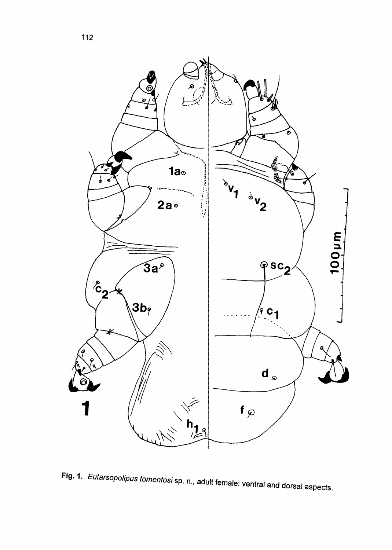

Fig. 1. Eutarsopolipus tomentosi sp. n., adult female: ventral and dorsal aspects.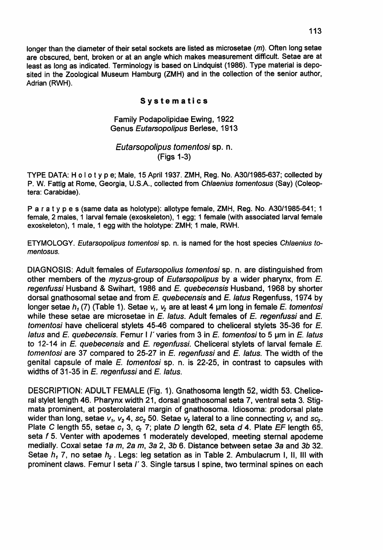longer than the diameter of their setal sockets are listed as microsetae  $(m)$ . Often long setae are obscured, bent, broken or at an angle which makes measurement difficult. Setae are at least as long as indicated. Terminology is based on Lindquist (1986). Type material is deposited in the Zoological Museum Hamburg (ZMH) and in the collection of the senior author, Adrian (RWH).

#### Systematics

### Family Podapolipidae Ewing, 1922 Genus Eutarsopolipus Berlese, 1913

## Eutarsopolipus tomentosi sp. n. (Figs 1-3)

TYPE DATA: Ho lot Y<sup>p</sup> e; Male, <sup>15</sup> April 1937. ZMH, Reg. No. A30/1985-637; collected by P. W. Fattig at Rome, Georgia, U.S.A., collected from Chlaenius tomentosus (Say) (Coleoptera: Carabidae).

Par a t y pes (same data as holotype): allotype female, ZMH, Reg. No. A30/1985-641; 1 female, 2 males, 1 larval female (exoskeleton), 1 egg; 1 female (with associated larval female exoskeleton), 1 male, 1 egg with the holotype: ZMH; 1 male, RWH.

ETYMOLOGY. Eutarsopolipus tomentosi sp. n. is named for the host species Chlaenius tomentosus.

DIAGNOSIS: Adult females of Eutarsopolius tomentosi sp. n. are distinguished from other members of the myzus-group of Eutarsopolipus by a wider pharynx, from E. regenfussi Husband & Swihart, 1986 and E. quebecensis Husband, 1968 by shorter dorsal gnathosomal setae and from E. quebecensis and E. latus Regenfuss, 1974 by longer setae h<sub>1</sub> (7) (Table 1). Setae  $v_1$ ,  $v_2$  are at least 4 µm long in female *E. tomentosi* while these setae are microsetae in  $E$ . latus. Adult females of  $E$ . regenfussi and  $E$ . tomentosi have cheliceral stylets 45-46 compared to cheliceral stylets 35-36 for E. latus and E. quebecensis. Femur I  $\ell$  varies from 3 in E. tomentosi to 5 um in E. latus to 12-14 in  $E$ . quebecensis and  $E$ . regenfussi. Cheliceral stylets of larval female  $E$ . tomentosi are 37 compared to 25-27 in  $E$ . regenfussi and  $E$ . latus. The width of the genital capsule of male  $E$ . tomentosi sp. n. is 22-25, in contrast to capsules with widths of 31-35 in E. regenfussi and E. latus.

DESCRIPTION: ADULT FEMALE (Fig. 1). Gnathosoma length 52, width 53. Cheliceral stylet length 46. Pharynx width 21, dorsal gnathosomal seta 7, ventral seta 3. Stigmata prominent, at posterolateral margin of gnathosoma. Idiosoma: prodorsal plate wider than long, setae  $v_1$ ,  $v_2$  4, sc<sub>2</sub> 50. Setae  $v_2$  lateral to a line connecting  $v_1$  and sc<sub>2</sub>. Plate C length 55, setae  $c_1$ , 3,  $c_2$  7; plate D length 62, seta d 4. Plate EF length 65, seta f 5. Venter with apodemes 1 moderately developed, meeting sternal apodeme medially. Coxal setae 1a rn, 2a m, 3a 2, *3b* 6. Distance between setae 3a and *3b 32.* Setae *h*<sub>1</sub> 7, no setae *h*<sub>2</sub>. Legs: leg setation as in Table 2. Ambulacrum I, II, III with prominent claws. Femur <sup>I</sup> seta *r* 3. Single tarsus <sup>I</sup> spine, two terminal spines on each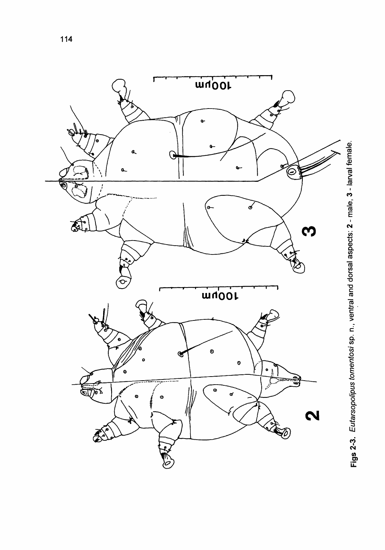

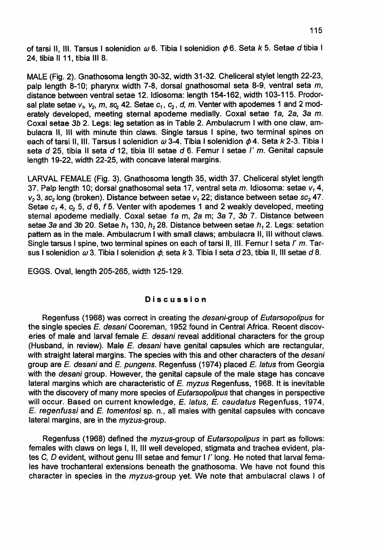of tarsi II, III, Tarsus I solenidion  $\omega$  6. Tibia I solenidion  $\phi$  6. Seta *k* 5. Setae *d* tibia I 24, tibia <sup>11</sup> 11, tibia III 8.

MALE (Fig. 2). Gnathosoma length 30-32, width 31-32. Cheliceral stylet length 22-23, palp length 8-10; pharynx width 7-8, dorsal gnathosomal seta 8-9, ventral seta  $m$ , distance between ventral setae 12. Idiosoma: length 154-162, width 103-115. Prodorsal plate setae  $v_1$ ,  $v_2$ ,  $m$ ,  $sc_2$  42. Setae  $c_1$ ,  $c_2$ ,  $d$ ,  $m$ . Venter with apodemes 1 and 2 moderately developed, meeting sternal apodeme medially. Coxal setae 1a, 2a, 3a *m.* Coxal setae 3b 2. Legs: leg setation as in Table 2. Ambulacrum I with one claw, ambulacra 11, III with minute thin claws. Single tarsus I spine, two terminal spines on each of tarsi II, III. Tarsus I solenidion  $\omega$  3-4. Tibia I solenidion  $\phi$  4. Seta k 2-3. Tibia I seta d 25, tibia II seta d 12, tibia III setae d 6. Femur I setae  $I'$  m. Genital capsule length 19-22, width 22-25, with concave lateral margins.

LARVAL FEMALE (Fig. 3). Gnathosoma length 35, width 37. Cheliceral stylet length 37. Palp length 10; dorsal gnathosomal seta 17, ventral seta  $m$ . Idiosoma: setae  $v, 4$ , *v<sub>2</sub>* 3, sc<sub>2</sub> long (broken). Distance between setae *v<sub>1</sub>* 22; distance between setae *sc<sub>2</sub>* 47. Setae  $c_1$  4,  $c_2$  5, *d* 6, *f* 5. Venter with apodemes 1 and 2 weakly developed, meeting sternal apodeme medially. Coxal setae 1a m, 2a m; 3a 7, 3b 7. Distance between setae 3a and 3b 20. Setae h*<sup>1</sup>* 130, h*<sup>2</sup>* 28. Distance between setae h*<sup>1</sup>* 2. Legs: setation pattern as in the male. Ambulacrum I with small claws; ambulacra 11, III without claws. Single tarsus I spine, two terminal spines on each of tarsi II, III. Femur I seta  $I'$  m. Tarsus I solenidion  $\omega$  3. Tibia I solenidion  $\phi$ , seta *k* 3. Tibia I seta *d* 23, tibia II, III setae *d* 8.

EGGS. Oval, length 205-265, width 125-129.

#### Discussion

Regenfuss (1968) was correct in creating the desani-group of Eutarsopolipus for the single species E. desani Cooreman, 1952 found in Central Africa. Recent discoveries of male and larval female E. desani reveal additional characters for the group (Husband, in review). Male E. desani have genital capsules which are rectangular, with straight lateral margins. The species with this and other characters of the *desani* group are *E. desani* and *E. pungens.* Regenfuss (1974) placed *E. latus* from Georgia with the *desani* group. However, the genital capsule of the male stage has concave lateral margins which are characteristic of  $E$ . myzus Regenfuss, 1968. It is inevitable with the discovery of many more species of *Eutarsopolipus* that changes in perspective will occur. Based on current knowledge, E. latus, E. caudatus Regenfuss, 1974, E. regenfussi and E. tomentosi sp. n., all males with genital capsules with concave lateral margins, are in the myzus-group.

Regenfuss (1968) defined the myzus-group of Eutarsopolipus in part as follows: females with claws on legs I, 11, III well developed, stigmata and trachea evident, plates C, D evident, without genu III setae and femur I *I'* long. He noted that larval females have trochanteral extensions beneath the gnathosoma. We have not found this character in species in the myzus-group yet. We note that ambulacral claws I of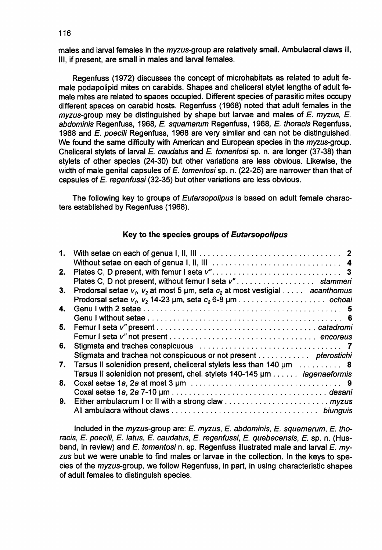males and larval females in the *myzus-group* are relatively small. Ambulacral claws II, Ill, if present, are small in males and larval females.

Regenfuss (1972) discusses the concept of microhabitats as related to adult female podapolipid mites on carabids. Shapes and cheliceral stylet lengths of adult female mites are related to spaces occupied. Different species of parasitic mites occupy different spaces on carabid hosts. Regenfuss (1968) noted that adult females in the  $myzus$ -group may be distinguished by shape but larvae and males of  $E$ .  $myzus$ .  $E$ . abdominis Regenfuss, 1968, E. squamarum Regenfuss, 1968, E. thoracis Regenfuss, 1968 and E. poecili Regenfuss, 1968 are very similar and can not be distinguished. We found the same difficulty with American and European species in the myzus-group. Cheliceral stylets of larval E. caudatus and E. tomentosi sp. n. are longer (37-38) than stylets of other species (24-30) but other variations are less obvious. Likewise, the width of male genital capsules of E. tomentosi sp. n. (22-25) are narrower than that of capsules of E. regenfussi (32-35) but other variations are less obvious.

The following key to groups of Eutarsopolipus is based on adult female characters established by Regenfuss (1968).

### Key to the species groups of Eutarsopolipus

| 2. |                                                                                     |
|----|-------------------------------------------------------------------------------------|
|    | Plates C. D not present, without femur I seta v"stammeri                            |
| 3. | Prodorsal setae $v_1$ , $v_2$ at most 5 µm, seta $c_2$ at most vestigial acanthomus |
|    |                                                                                     |
| 4. |                                                                                     |
|    |                                                                                     |
| 5. |                                                                                     |
|    |                                                                                     |
| 6. | Stigmata and trachea conspicuous contract contracts of the state of T               |
|    | Stigmata and trachea not conspicuous or not present pterostichi                     |
| 7. | Tarsus II solenidion present, cheliceral stylets less than 140 um  8                |
|    | Tarsus II solenidion not present, chel. stylets 140-145 µm lagenaeformis            |
| 8. |                                                                                     |
|    |                                                                                     |
| 9. |                                                                                     |
|    |                                                                                     |

Included in the myzus-group are:  $E$ . myzus,  $E$ . abdominis,  $E$ . squamarum,  $E$ . thoracis, E. poecili, E. latus, E. caudatus, E. regenfussi, E. quebecensis, E. sp. n. (Husband, in review) and  $E$ . tomentosi n. sp. Regenfuss illustrated male and larval  $E$ . myzus but we were unable to find males or larvae in the collection. In the keys to species of the myzus-group, we follow Regenfuss, in part, in using characteristic shapes of adult females to distinguish species.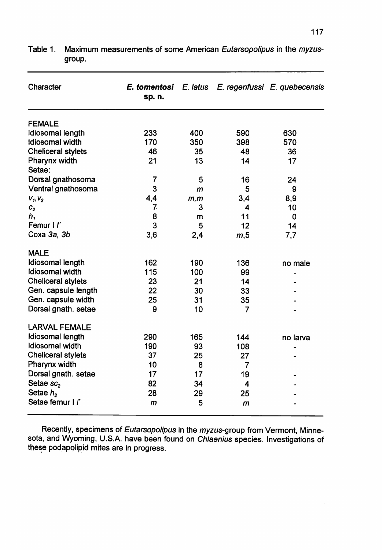| Character              | sp. n. |      |              | <b>E. tomentosi</b> E. latus E. regenfussi E. quebecensis |
|------------------------|--------|------|--------------|-----------------------------------------------------------|
| <b>FEMALE</b>          |        |      |              |                                                           |
| Idiosomal length       | 233    | 400  | 590          | 630                                                       |
| <b>Idiosomal</b> width | 170    | 350  | 398          | 570                                                       |
| Cheliceral stylets     | 46     | 35   | 48           | 36                                                        |
| Pharynx width          | 21     | 13   | 14           | 17                                                        |
| Setae:                 |        |      |              |                                                           |
| Dorsal gnathosoma      | 7      | 5    | 16           | 24                                                        |
| Ventral gnathosoma     | 3      | m    | 5            | 9                                                         |
| $V_1, V_2$             | 4,4    | m, m | 3,4          | 8,9                                                       |
| c <sub>2</sub>         | 7.     | 3    | 4            | 10                                                        |
| h,                     | 8      | m    | 11           | 0                                                         |
| Femur I I'             | 3      | 5    | 12           | 14                                                        |
| Coxa 3a, 3b            | 3,6    | 2,4  | m,5          | 7,7                                                       |
| <b>MALE</b>            |        |      |              |                                                           |
| Idiosomal length       | 162    | 190  | 136          | no male                                                   |
| Idiosomal width        | 115    | 100  | 99           |                                                           |
| Cheliceral stylets     | 23     | 21   | 14           |                                                           |
| Gen. capsule length    | 22     | 30   | 33           |                                                           |
| Gen. capsule width     | 25     | 31   | 35           |                                                           |
| Dorsal gnath. setae    | 9      | 10   | 7            |                                                           |
| <b>LARVAL FEMALE</b>   |        |      |              |                                                           |
| Idiosomal length       | 290    | 165  | 144          | no larva                                                  |
| Idiosomal width        | 190    | 93   | 108          |                                                           |
| Cheliceral stylets     | 37     | 25   | 27           |                                                           |
| Pharynx width          | 10     | 8    | 7            |                                                           |
| Dorsal gnath. setae    | 17     | 17   | 19           |                                                           |
| Setae sc <sub>2</sub>  | 82     | 34   | 4            |                                                           |
| Setae $h2$             | 28     | 29   | 25           |                                                           |
| Setae femur I l'       | m      | 5    | $\mathsf{m}$ |                                                           |

Table 1. Maximum measurements of some American Eutarsopolipus in the myzusgroup.

Recently, specimens of Eutarsopolipus in the myzus-group from Vermont, Minnesota, and Wyoming, U.S.A. have been found on Chlaenius species. Investigations of these podapolipid mites are in progress.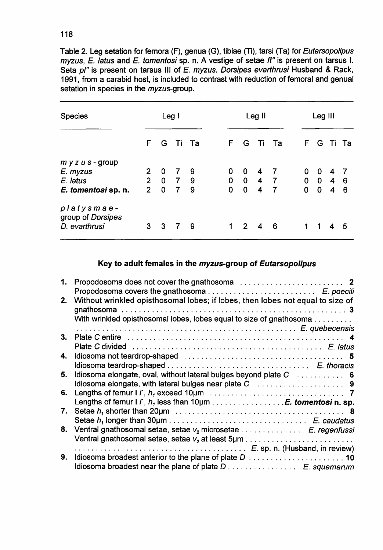Table 2. Leg setation for femora (F), genua (G), tibiae (Ti), tarsi (Ta) for Eutarsopolipus myzus, E. latus and E. tomentosi sp. n. A vestige of setae ft" is present on tarsus I. Seta pl" is present on tarsus III of E. myzus. Dorsipes evarthrusi Husband & Rack, 1991, from a carabid host, is included to contrast with reduction of femoral and genual setation in species in the *myzus-group*.

| <b>Species</b>                  | Leg I          |             |                | Leg II         |                |              |                         | Leg III        |                |                 |     |       |
|---------------------------------|----------------|-------------|----------------|----------------|----------------|--------------|-------------------------|----------------|----------------|-----------------|-----|-------|
|                                 | F.             |             | G Ti Ta        |                | F.             | G            | Ti Ta                   |                | F.             | G               |     | Ti Ta |
| $m y z u s - group$             |                |             |                |                |                |              |                         |                |                |                 |     |       |
| E. myzus                        | 2              | 0           | $\overline{7}$ | 9 <sub>o</sub> | 0              | 0            | 4 7                     |                | 0              | 0               | 47  |       |
| E. latus                        |                | $2 \quad 0$ | 79             |                |                |              |                         | 0 0 4 7        |                | $0 \t0 \t4 \t6$ |     |       |
| E. tomentosi sp. n.             | $\overline{2}$ | 0           | $\overline{7}$ | - 9            | $\overline{0}$ | $\mathbf{o}$ | $\overline{\mathbf{4}}$ | $\overline{7}$ | $\overline{0}$ | $\mathbf 0$     | 4 6 |       |
| platysmae-<br>group of Dorsipes |                |             |                |                |                |              |                         |                |                |                 |     |       |
| D. evarthrusi                   | 3              | 3           | $\overline{7}$ | - 9            | 1              | 2 4 6        |                         |                | 1              | -1              | 4   | - 5   |

## Key to adult females in the myzus-group of Eutarsopolipus

| 1. |                                                                                |
|----|--------------------------------------------------------------------------------|
|    |                                                                                |
| 2. | Without wrinkled opisthosomal lobes; if lobes, then lobes not equal to size of |
|    | With wrinkled opisthosomal lobes, lobes equal to size of gnathosoma            |
|    |                                                                                |
| 3. |                                                                                |
|    |                                                                                |
|    |                                                                                |
| 4. |                                                                                |
|    |                                                                                |
| 5. | Idiosoma elongate, oval, without lateral bulges beyond plate C  6              |
|    |                                                                                |
|    |                                                                                |
|    | Lengths of femur I $l'$ , $h_j$ less than 10 $\mu$ m E. tomentosi n. sp.       |
| 7. |                                                                                |
|    |                                                                                |
|    |                                                                                |
| 8. | Ventral gnathosomal setae, setae v <sub>2</sub> microsetae E. regenfussi       |
|    |                                                                                |
|    |                                                                                |
| 9. |                                                                                |
|    | Idiosoma broadest near the plane of plate D E. squamarum                       |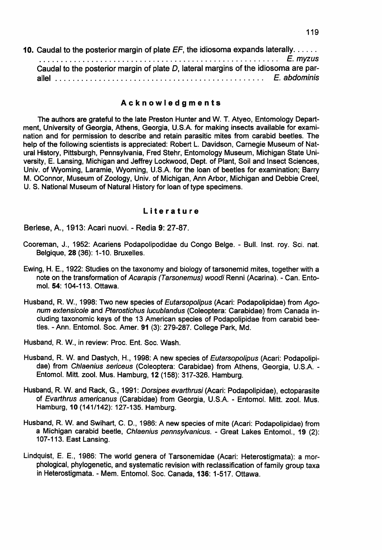| 10. Caudal to the posterior margin of plate $EF$ , the idiosoma expands laterally. $\dots$ |  |
|--------------------------------------------------------------------------------------------|--|
|                                                                                            |  |
| Caudal to the posterior margin of plate D, lateral margins of the idiosoma are par-        |  |
|                                                                                            |  |

#### Acknowledgments

The authors are grateful to the late Preston Hunter and W. T. Atyeo, Entomology Department, University of Georgia, Athens, Georgia, U.S.A. for making insects available for examination and for permission to describe and retain parasitic mites from carabid beetles. The help of the following scientists is appreciated: Robert L. Davidson, Carnegie Museum of Natural History, Pittsburgh, Pennsylvania, Fred Stehr, Entomology Museum, Michigan State University, E. Lansing, Michigan and Jeffrey Lockwood, Dep1. of Plant, Soil and Insect Sciences, Univ. of Wyoming, Laramie, Wyoming, U.S.A. for the loan of beetles for examination; Barry M. OConnor, Museum of Zoology, Univ. of Michigan, Ann Arbor, Michigan and Debbie Creel, U. S. National Museum of Natural History for loan of type specimens.

#### Literature

Berlese, A., 1913: Acari nuovi. - Redia 9: 27-87.

- Cooreman, J., 1952: Acariens Podapolipodidae du Congo Belge. Bull. Inst. roy. Sci. nat. Belgique, 28 (36): 1-10. Bruxelles.
- Ewing, H. E., 1922: Studies on the taxonomy and biology of tarsonemid mites, together with a note on the transformation of Acarapis (Tarsonemus) woodi Renni (Acarina). - Can. Entomol. 54: 104-113. Ottawa.
- Husband, R. W., 1998: Two new species of *Eutarsopolipus* (Acari: Podapolipidae) from Agonum extensicole and pterostichus lucublandus (Coleoptera: Carabidae) from Canada inclUding taxonomic keys of the 13 American species of Podapolipidae from carabid beetles. - Ann. Entomol. Soc. Amer. 91 (3): 279-287. College Park, Md.

Husband, R. W., in review: Proc. Ent. Soc. Wash.

- Husband, R. W. and Dastych, H., 1998: A new species of Eutarsopolipus (Acari: Podapolipidae) from Chlaenius sericeus (Coleoptera: Carabidae) from Athens, Georgia, U.S.A. - Entomol. Mitt. zool. Mus. Hamburg, 12 (158): 317-326. Hamburg.
- Husband, R. W. and Rack, G., 1991: Dorsipes evarthrusi (Acari: Podapolipidae), ectoparasite of Evarthrus americanus (Carabidae) from Georgia, U.S.A. - Entomol. Mitt. zool. Mus. Hamburg, 10 (141/142): 127-135. Hamburg.
- Husband, R. W. and Swihart, C. D., 1986: A new species of mite (Acari: Podapolipidae) from a Michigan carabid beetle, Chlaenius pennsylvanicus. - Great Lakes Entomol., 19 (2): 107-113. East Lansing.
- Lindquist, E. E., 1986: The world genera of Tarsonemidae (Acari: Heterostigmata): a morphological, phylogenetic, and systematic revision with reclassification of family group taxa in Heterostigmata. - Mem. Entomol. Soc. Canada, 136: 1-517. Ottawa.